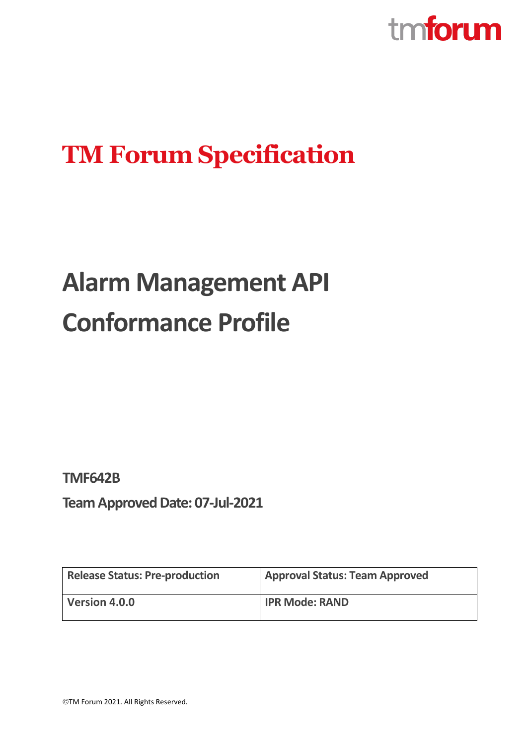

## **TM Forum Specification**

# **Alarm Management API Conformance Profile**

**TMF642B**

**Team Approved Date: 07-Jul-2021**

| <b>Release Status: Pre-production</b> | <b>Approval Status: Team Approved</b> |
|---------------------------------------|---------------------------------------|
| Version 4.0.0                         | <b>IPR Mode: RAND</b>                 |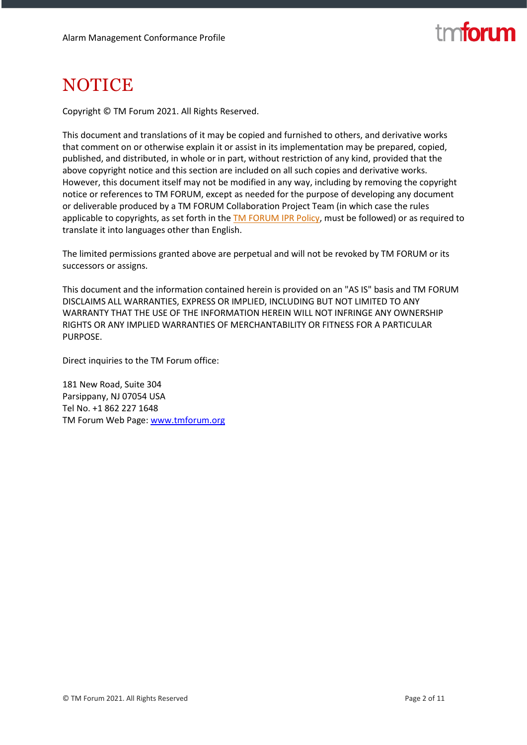## tm**fori m**

## <span id="page-1-0"></span>**NOTICE**

Copyright © TM Forum 2021. All Rights Reserved.

This document and translations of it may be copied and furnished to others, and derivative works that comment on or otherwise explain it or assist in its implementation may be prepared, copied, published, and distributed, in whole or in part, without restriction of any kind, provided that the above copyright notice and this section are included on all such copies and derivative works. However, this document itself may not be modified in any way, including by removing the copyright notice or references to TM FORUM, except as needed for the purpose of developing any document or deliverable produced by a TM FORUM Collaboration Project Team (in which case the rules applicable to copyrights, as set forth in th[e TM FORUM IPR Policy,](http://www.tmforum.org/IPRPolicy/11525/home.html) must be followed) or as required to translate it into languages other than English.

The limited permissions granted above are perpetual and will not be revoked by TM FORUM or its successors or assigns.

This document and the information contained herein is provided on an "AS IS" basis and TM FORUM DISCLAIMS ALL WARRANTIES, EXPRESS OR IMPLIED, INCLUDING BUT NOT LIMITED TO ANY WARRANTY THAT THE USE OF THE INFORMATION HEREIN WILL NOT INFRINGE ANY OWNERSHIP RIGHTS OR ANY IMPLIED WARRANTIES OF MERCHANTABILITY OR FITNESS FOR A PARTICULAR PURPOSE.

Direct inquiries to the TM Forum office:

181 New Road, Suite 304 Parsippany, NJ 07054 USA Tel No. +1 862 227 1648 TM Forum Web Page: [www.tmforum.org](http://www.tmforum.org/)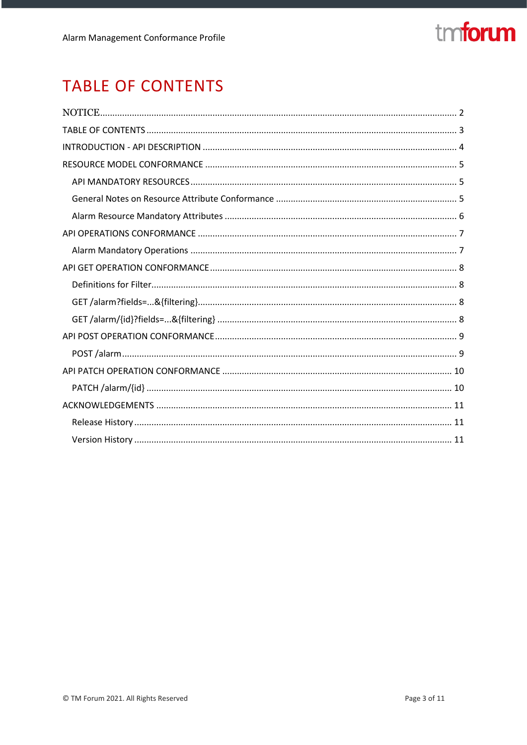## tmforum

## <span id="page-2-0"></span>**TABLE OF CONTENTS**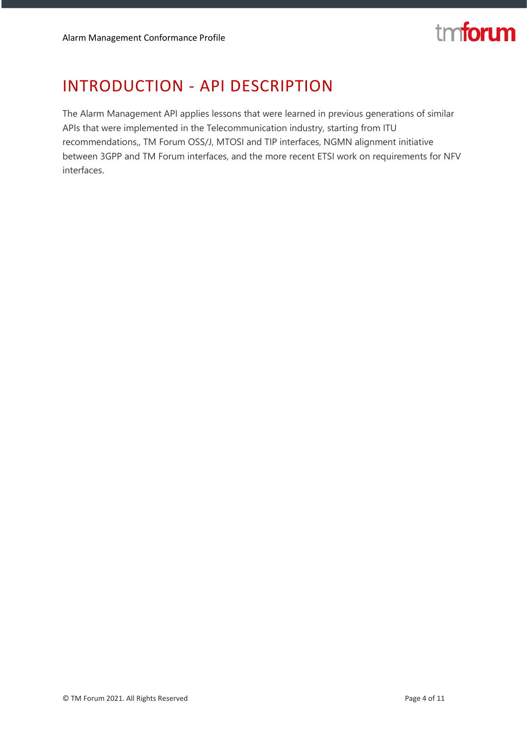

### <span id="page-3-0"></span>INTRODUCTION - API DESCRIPTION

The Alarm Management API applies lessons that were learned in previous generations of similar APIs that were implemented in the Telecommunication industry, starting from ITU recommendations,, TM Forum OSS/J, MTOSI and TIP interfaces, NGMN alignment initiative between 3GPP and TM Forum interfaces, and the more recent ETSI work on requirements for NFV interfaces.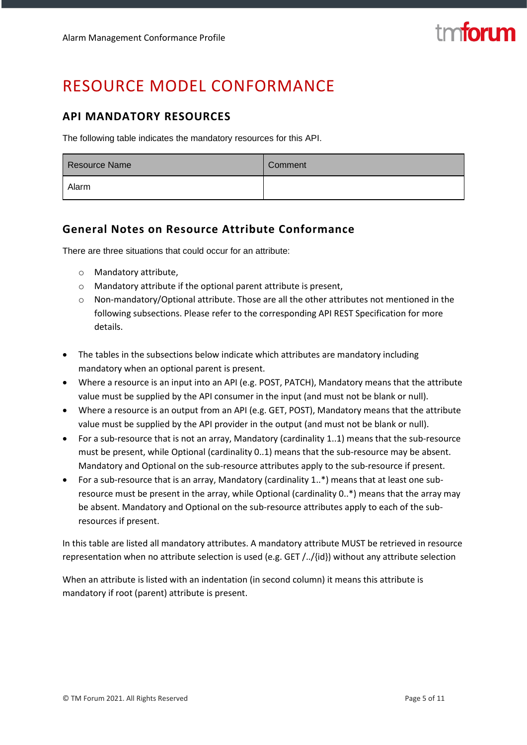## <span id="page-4-0"></span>RESOURCE MODEL CONFORMANCE

#### <span id="page-4-1"></span>**API MANDATORY RESOURCES**

The following table indicates the mandatory resources for this API.

| <b>Resource Name</b> | Comment |
|----------------------|---------|
| Alarm                |         |

#### <span id="page-4-2"></span>**General Notes on Resource Attribute Conformance**

There are three situations that could occur for an attribute:

- o Mandatory attribute,
- o Mandatory attribute if the optional parent attribute is present,
- $\circ$  Non-mandatory/Optional attribute. Those are all the other attributes not mentioned in the following subsections. Please refer to the corresponding API REST Specification for more details.
- The tables in the subsections below indicate which attributes are mandatory including mandatory when an optional parent is present.
- Where a resource is an input into an API (e.g. POST, PATCH), Mandatory means that the attribute value must be supplied by the API consumer in the input (and must not be blank or null).
- Where a resource is an output from an API (e.g. GET, POST), Mandatory means that the attribute value must be supplied by the API provider in the output (and must not be blank or null).
- For a sub-resource that is not an array, Mandatory (cardinality 1..1) means that the sub-resource must be present, while Optional (cardinality 0..1) means that the sub-resource may be absent. Mandatory and Optional on the sub-resource attributes apply to the sub-resource if present.
- For a sub-resource that is an array, Mandatory (cardinality 1..\*) means that at least one subresource must be present in the array, while Optional (cardinality 0..\*) means that the array may be absent. Mandatory and Optional on the sub-resource attributes apply to each of the subresources if present.

In this table are listed all mandatory attributes. A mandatory attribute MUST be retrieved in resource representation when no attribute selection is used (e.g. GET /../{id}) without any attribute selection

When an attribute is listed with an indentation (in second column) it means this attribute is mandatory if root (parent) attribute is present.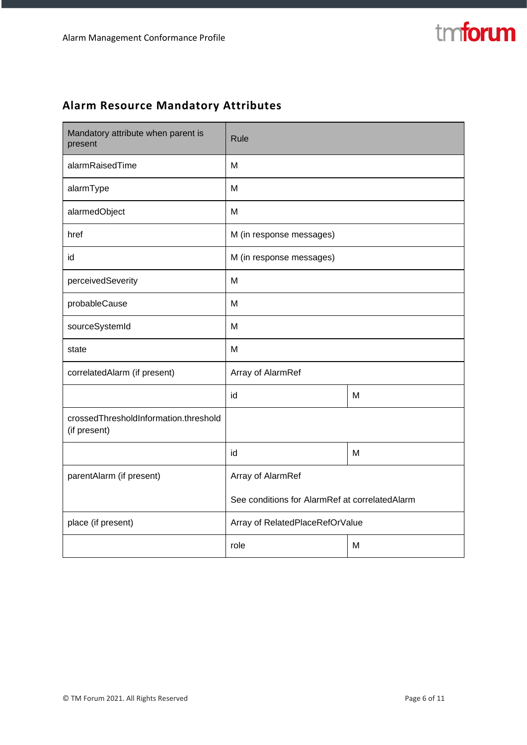

### <span id="page-5-0"></span>**Alarm Resource Mandatory Attributes**

| Mandatory attribute when parent is<br>present         | <b>Rule</b>                                    |   |  |
|-------------------------------------------------------|------------------------------------------------|---|--|
| alarmRaisedTime                                       | M                                              |   |  |
| alarmType                                             | M                                              |   |  |
| alarmedObject                                         | м                                              |   |  |
| href                                                  | M (in response messages)                       |   |  |
| id                                                    | M (in response messages)                       |   |  |
| perceivedSeverity                                     | м                                              |   |  |
| probableCause                                         | м                                              |   |  |
| sourceSystemId                                        | м                                              |   |  |
| state                                                 | м                                              |   |  |
| correlatedAlarm (if present)                          | Array of AlarmRef                              |   |  |
|                                                       | id                                             | М |  |
| crossedThresholdInformation.threshold<br>(if present) |                                                |   |  |
|                                                       | id                                             | M |  |
| parentAlarm (if present)                              | Array of AlarmRef                              |   |  |
|                                                       | See conditions for AlarmRef at correlatedAlarm |   |  |
| place (if present)                                    | Array of RelatedPlaceRefOrValue                |   |  |
|                                                       | role                                           | M |  |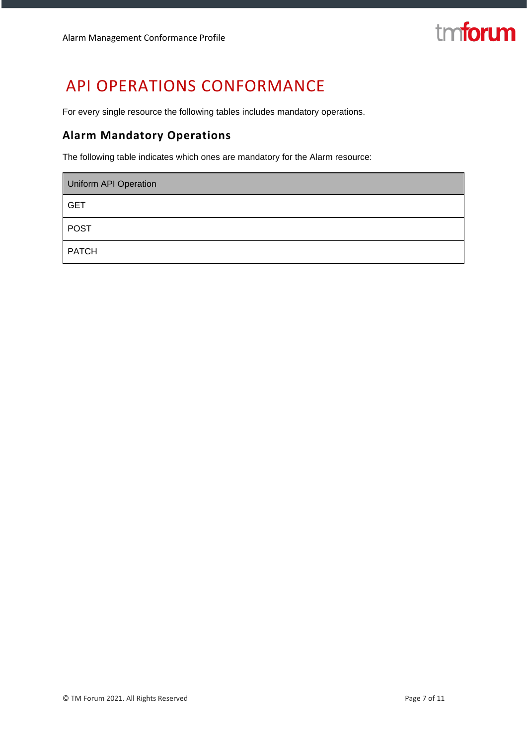

## <span id="page-6-0"></span>API OPERATIONS CONFORMANCE

For every single resource the following tables includes mandatory operations.

#### <span id="page-6-1"></span>**Alarm Mandatory Operations**

The following table indicates which ones are mandatory for the Alarm resource:

| <b>Uniform API Operation</b> |
|------------------------------|
| <b>GET</b>                   |
| <b>POST</b>                  |
| <b>PATCH</b>                 |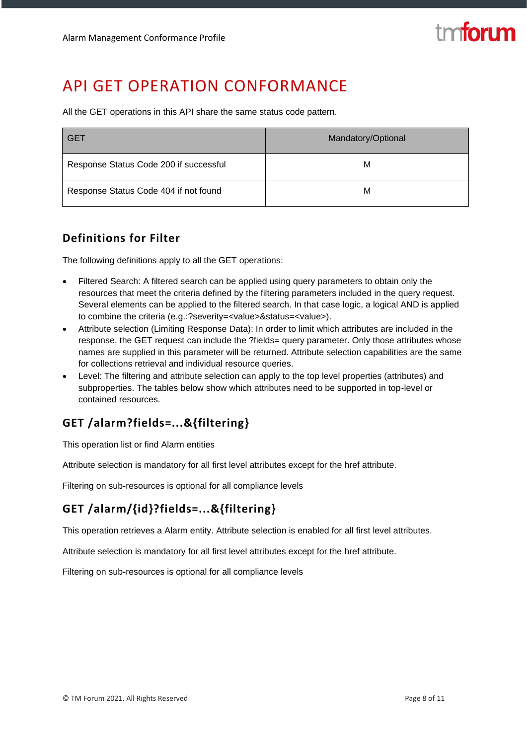## <span id="page-7-0"></span>API GET OPERATION CONFORMANCE

All the GET operations in this API share the same status code pattern.

| l GET                                  | Mandatory/Optional |
|----------------------------------------|--------------------|
| Response Status Code 200 if successful | М                  |
| Response Status Code 404 if not found  | М                  |

#### <span id="page-7-1"></span>**Definitions for Filter**

The following definitions apply to all the GET operations:

- Filtered Search: A filtered search can be applied using query parameters to obtain only the resources that meet the criteria defined by the filtering parameters included in the query request. Several elements can be applied to the filtered search. In that case logic, a logical AND is applied to combine the criteria (e.g.:?severity=<value>&status=<value>).
- Attribute selection (Limiting Response Data): In order to limit which attributes are included in the response, the GET request can include the ?fields= query parameter. Only those attributes whose names are supplied in this parameter will be returned. Attribute selection capabilities are the same for collections retrieval and individual resource queries.
- Level: The filtering and attribute selection can apply to the top level properties (attributes) and subproperties. The tables below show which attributes need to be supported in top-level or contained resources.

#### <span id="page-7-2"></span>**GET /alarm?fields=...&{filtering}**

This operation list or find Alarm entities

Attribute selection is mandatory for all first level attributes except for the href attribute.

Filtering on sub-resources is optional for all compliance levels

#### <span id="page-7-3"></span>**GET /alarm/{id}?fields=...&{filtering}**

This operation retrieves a Alarm entity. Attribute selection is enabled for all first level attributes.

Attribute selection is mandatory for all first level attributes except for the href attribute.

Filtering on sub-resources is optional for all compliance levels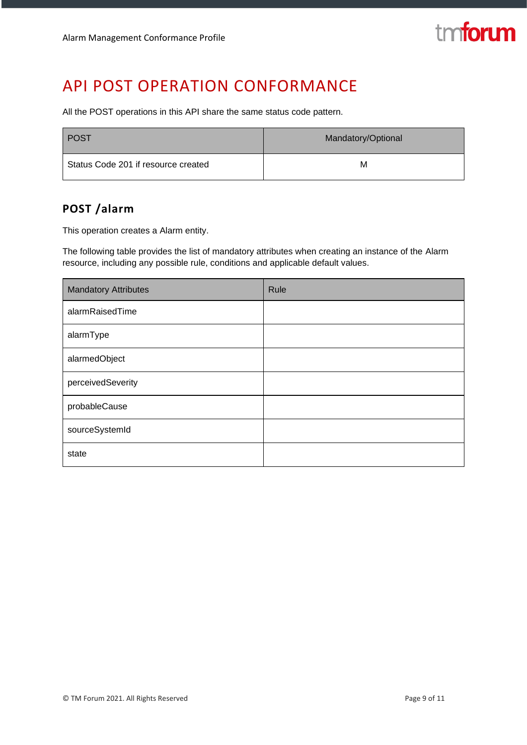## <span id="page-8-0"></span>API POST OPERATION CONFORMANCE

All the POST operations in this API share the same status code pattern.

| POST                                | Mandatory/Optional |
|-------------------------------------|--------------------|
| Status Code 201 if resource created | м                  |

#### <span id="page-8-1"></span>**POST /alarm**

This operation creates a Alarm entity.

The following table provides the list of mandatory attributes when creating an instance of the Alarm resource, including any possible rule, conditions and applicable default values.

| <b>Mandatory Attributes</b> | Rule |
|-----------------------------|------|
| alarmRaisedTime             |      |
| alarmType                   |      |
| alarmedObject               |      |
| perceivedSeverity           |      |
| probableCause               |      |
| sourceSystemId              |      |
| state                       |      |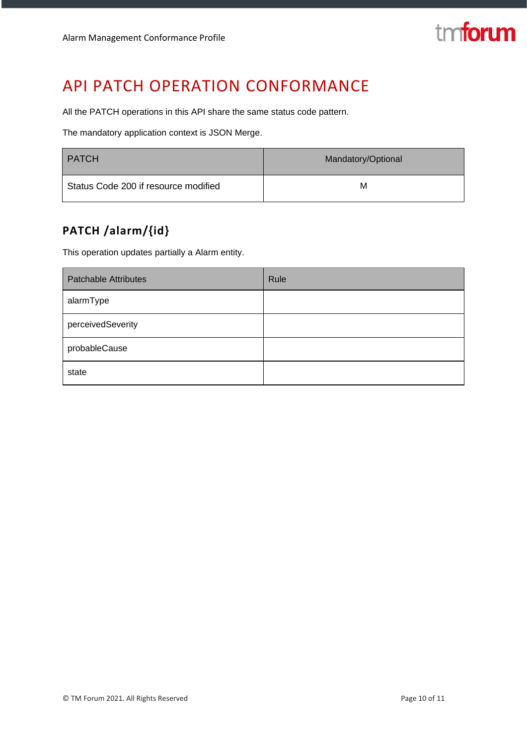## <span id="page-9-0"></span>API PATCH OPERATION CONFORMANCE

All the PATCH operations in this API share the same status code pattern.

The mandatory application context is JSON Merge.

| <b>PATCH</b>                         | Mandatory/Optional |
|--------------------------------------|--------------------|
| Status Code 200 if resource modified | М                  |

### <span id="page-9-1"></span>**PATCH /alarm/{id}**

This operation updates partially a Alarm entity.

| <b>Patchable Attributes</b> | Rule |
|-----------------------------|------|
| alarmType                   |      |
| perceivedSeverity           |      |
| probableCause               |      |
| state                       |      |